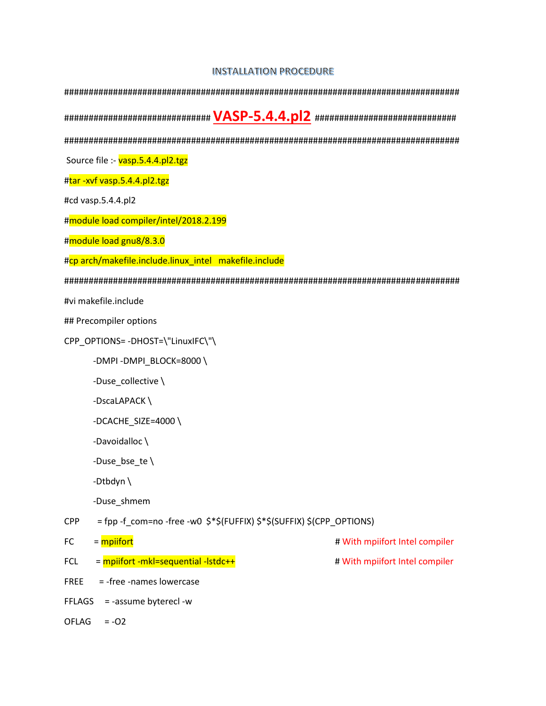## **INSTALLATION PROCEDURE**

| Source file :- vasp.5.4.4.pl2.tgz                                                   |                                |
|-------------------------------------------------------------------------------------|--------------------------------|
| #tar-xvf vasp.5.4.4.pl2.tgz                                                         |                                |
| #cd vasp.5.4.4.pl2                                                                  |                                |
| #module load compiler/intel/2018.2.199                                              |                                |
| #module load gnu8/8.3.0                                                             |                                |
| #cp arch/makefile.include.linux_intel makefile.include                              |                                |
|                                                                                     |                                |
| #vi makefile.include                                                                |                                |
| ## Precompiler options                                                              |                                |
| CPP_OPTIONS= -DHOST=\"LinuxIFC\"\                                                   |                                |
| -DMPI-DMPI_BLOCK=8000\                                                              |                                |
| -Duse_collective \                                                                  |                                |
| -DscaLAPACK\                                                                        |                                |
| -DCACHE_SIZE=4000\                                                                  |                                |
| -Davoidalloc \                                                                      |                                |
| -Duse_bse_te $\setminus$                                                            |                                |
| -Dtbdyn $\setminus$                                                                 |                                |
| -Duse shmem                                                                         |                                |
| = fpp -f_com=no -free -w0 \$*\$(FUFFIX) \$*\$(SUFFIX) \$(CPP_OPTIONS)<br><b>CPP</b> |                                |
| = mpiifort<br>FC                                                                    | # With mpiifort Intel compiler |
| = mpiifort -mkl=sequential -lstdc++<br><b>FCL</b>                                   | # With mpiifort Intel compiler |
| = -free -names lowercase<br><b>FREE</b>                                             |                                |
| = -assume byterecl -w<br><b>FFLAGS</b>                                              |                                |
| $= -02$<br>OFLAG                                                                    |                                |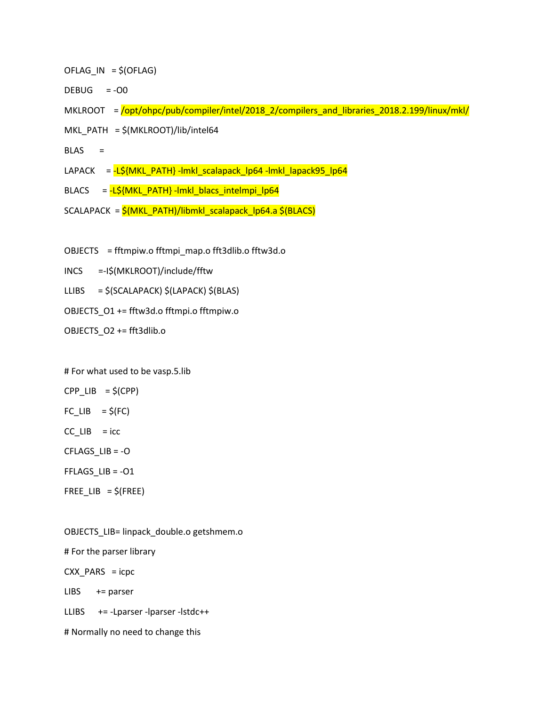- $OFLAG IN = $(OFLAG)$
- $DEBUG = -OO$
- MKLROOT =  $\sqrt{\frac{opt/ohpc/pub/complier/intel/2018_2}/compilers_and_libraries_2018.2.199/linux/mkl/$
- MKL\_PATH = \$(MKLROOT)/lib/intel64
- $BLAS =$
- LAPACK = -L\${MKL\_PATH} -lmkl\_scalapack\_lp64 -lmkl\_lapack95\_lp64
- BLACS = -L\${MKL\_PATH} -lmkl\_blacs\_intelmpi\_lp64
- SCALAPACK = \$(MKL\_PATH)/libmkl\_scalapack\_lp64.a \$(BLACS)
- OBJECTS = fftmpiw.o fftmpi\_map.o fft3dlib.o fftw3d.o
- INCS =-I\$(MKLROOT)/include/fftw
- LLIBS = \$(SCALAPACK) \$(LAPACK) \$(BLAS)
- OBJECTS\_O1 += fftw3d.o fftmpi.o fftmpiw.o
- OBJECTS\_O2 += fft3dlib.o

# For what used to be vasp.5.lib

 $CPP$ \_LIB =  $$$ (CPP)

- $FC_LIB = $(FC)$
- $CC$ \_LIB = icc

CFLAGS\_LIB = -O

FFLAGS\_LIB = -O1

 $FREE$ \_LIB =  $$$ (FREE)

OBJECTS\_LIB= linpack\_double.o getshmem.o # For the parser library  $CXX$  PARS = icpc  $LIBS$  += parser LLIBS += -Lparser -lparser -lstdc++ # Normally no need to change this